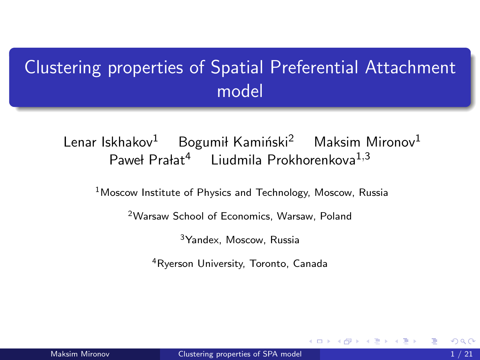# <span id="page-0-0"></span>Clustering properties of Spatial Preferential Attachment model

Lenar Iskhakov<sup>1</sup> Bogumił Kamiński<sup>2</sup> Maksim Mironov<sup>1</sup> Paweł Prałat<sup>4</sup> Liudmila Prokhorenkova<sup>1,3</sup>

<sup>1</sup> Moscow Institute of Physics and Technology, Moscow, Russia

<sup>2</sup>Warsaw School of Economics, Warsaw, Poland

<sup>3</sup>Yandex, Moscow, Russia

<sup>4</sup>Ryerson University, Toronto, Canada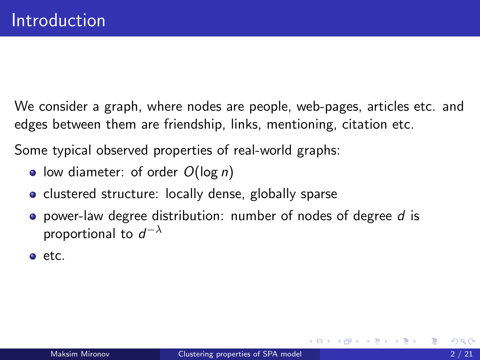We consider a graph, where nodes are people, web-pages, articles etc. and edges between them are friendship, links, mentioning, citation etc.

Some typical observed properties of real-world graphs:

- low diameter: of order  $O(\log n)$
- clustered structure: locally dense, globally sparse
- **•** power-law degree distribution: number of nodes of degree d is proportional to  $d^{-\lambda}$
- $e$  etc.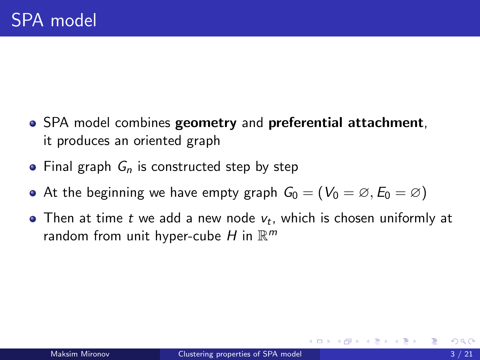- SPA model combines geometry and preferential attachment, it produces an oriented graph
- Final graph  $G_n$  is constructed step by step
- At the beginning we have empty graph  $G_0 = (V_0 = \emptyset, E_0 = \emptyset)$
- Then at time  $t$  we add a new node  $v_t$ , which is chosen uniformly at random from unit hyper-cube H in  $\mathbb{R}^m$

澄後 す唐 約一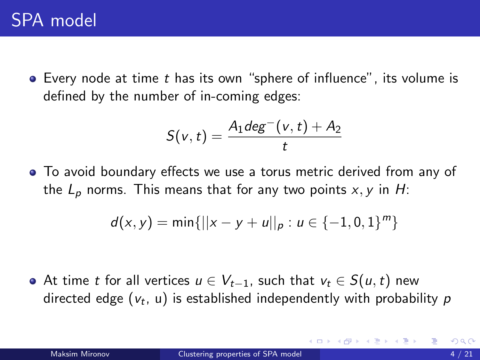• Every node at time t has its own "sphere of influence", its volume is defined by the number of in-coming edges:

$$
S(v,t) = \frac{A_1 deg^-(v,t) + A_2}{t}
$$

To avoid boundary effects we use a torus metric derived from any of the  $L_p$  norms. This means that for any two points x, y in H:

$$
d(x,y) = \min\{||x - y + u||_p : u \in \{-1,0,1\}^m\}
$$

• At time t for all vertices  $u \in V_{t-1}$ , such that  $v_t \in S(u,t)$  new directed edge  $(\mathsf{v}_t,\,\mathsf{u})$  is established independently with probability  $\rho$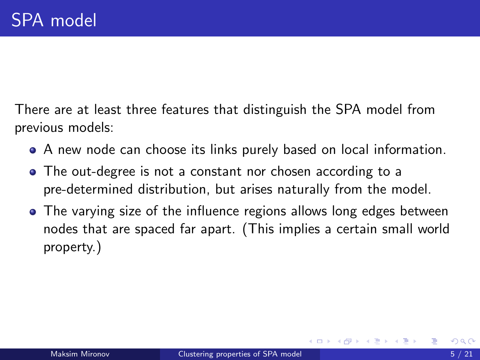There are at least three features that distinguish the SPA model from previous models:

- A new node can choose its links purely based on local information.
- The out-degree is not a constant nor chosen according to a pre-determined distribution, but arises naturally from the model.
- The varying size of the influence regions allows long edges between nodes that are spaced far apart. (This implies a certain small world property.)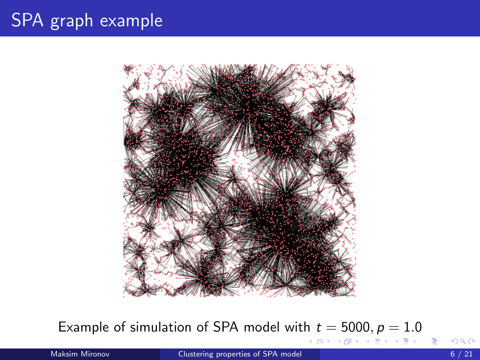# SPA graph example



Example of simulation of SPA model with  $t = 5000, p = 1.0$ 

Maksim Mironov **[Clustering properties of SPA model](#page-0-0) 6 / 21** Maksim Mironov 6 / 21

E

イロト イ部 トイモト イモト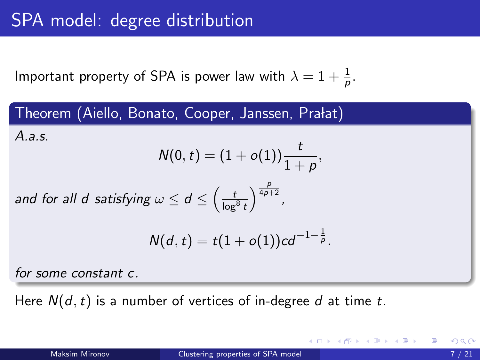Important property of SPA is power law with  $\lambda=1+\frac{1}{\rho}.$ 

Theorem (Aiello, Bonato, Cooper, Janssen, Prałat) A.a.s.  $\mathcal{N}(0,t) = (1+o(1)) \frac{t}{1+\rho},$ and for all d satisfying  $\omega \leq d \leq \left(\frac{t}{\log^8{t}}\right)$  $\frac{p}{4p+2}$ ,  $N(d,t) = t(1+o(1))cd^{-1-\frac{1}{p}}$ .

for some constant c.

Here  $N(d, t)$  is a number of vertices of in-degree d at time t.

K ロ > K @ > K 경 > K 경 > H 경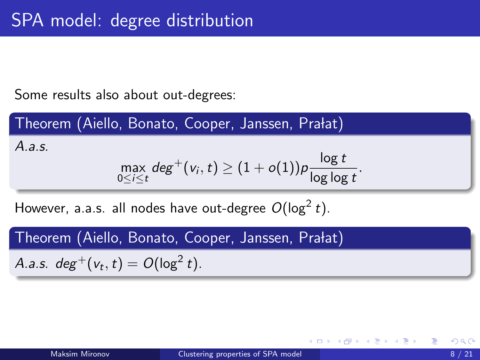Some results also about out-degrees:

Theorem (Aiello, Bonato, Cooper, Janssen, Prałat) A.a.s.  $\max_{0 \le i \le t} deg^+(v_i, t) \ge (1 + o(1))p \frac{\log t}{\log \log t}$  $\frac{1}{\log \log t}$ .

However, a.a.s. all nodes have out-degree  $O(\log^2 t)$ .

Theorem (Aiello, Bonato, Cooper, Janssen, Prałat)

A.a.s.  $deg^+(v_t, t) = O(log^2 t)$ .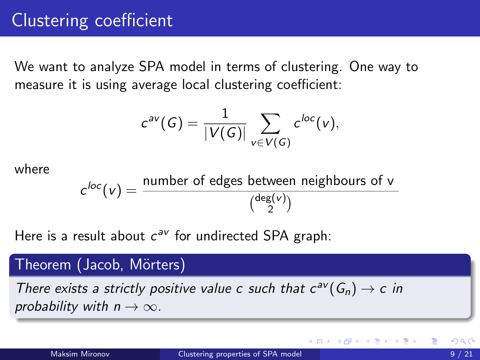We want to analyze SPA model in terms of clustering. One way to measure it is using average local clustering coefficient:

$$
c^{av}(G)=\frac{1}{|V(G)|}\sum_{v\in V(G)}c^{loc}(v),
$$

where

 $c^{loc}(v) = \frac{\text{number of edges between neighbours of } v}{\text{class}(v)}$  $\int_{2}^{deg(v)}$ z(v))<br>2

Here is a result about  $c^{av}$  for undirected SPA graph:

#### Theorem (Jacob, Mörters)

There exists a strictly positive value c such that  $c^{av}(G_n) \to c$  in probability with  $n \to \infty$ .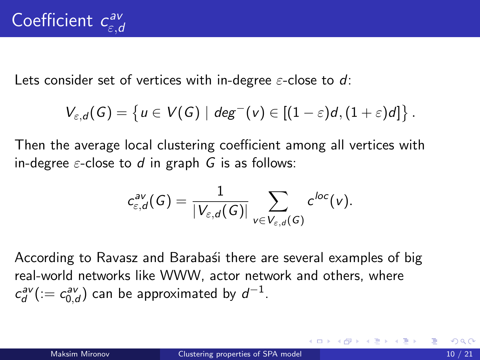Lets consider set of vertices with in-degree  $\varepsilon$ -close to d:

$$
V_{\varepsilon,d}(G)=\left\{u\in V(G)\mid \text{deg}^-(v)\in [(1-\varepsilon)d,(1+\varepsilon)d]\right\}.
$$

Then the average local clustering coefficient among all vertices with in-degree  $\varepsilon$ -close to d in graph G is as follows:

$$
c_{\varepsilon,d}^{\mathsf{av}}(G) = \frac{1}{|V_{\varepsilon,d}(G)|} \sum_{v \in V_{\varepsilon,d}(G)} c^{loc}(v).
$$

According to Ravasz and Barabasi there are several examples of big real-world networks like WWW, actor network and others, where  $c_d^{\mathsf{av}}(:=c_{0,d}^{\mathsf{av}})$  can be approximated by  $d^{-1}.$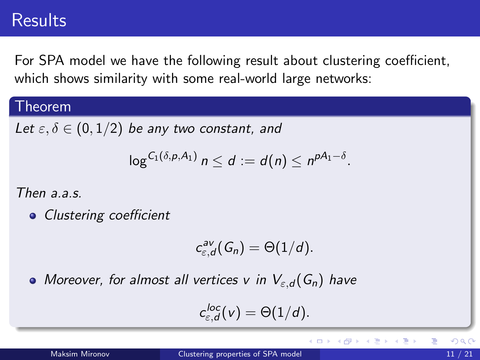### **Results**

For SPA model we have the following result about clustering coefficient, which shows similarity with some real-world large networks:

#### Theorem

Let  $\varepsilon, \delta \in (0, 1/2)$  be any two constant, and

$$
\log^{C_1(\delta,p,A_1)} n \leq d := d(n) \leq n^{pA_1-\delta}.
$$

Then  $a \overline{a} s$ 

• Clustering coefficient

$$
c_{\varepsilon,d}^{av}(G_n)=\Theta(1/d).
$$

• Moreover, for almost all vertices v in  $V_{\varepsilon,d}(G_n)$  have

$$
c_{\varepsilon,d}^{loc}(v)=\Theta(1/d).
$$

**← ロ → → ← 何 →** 

医单位 医单位

Þ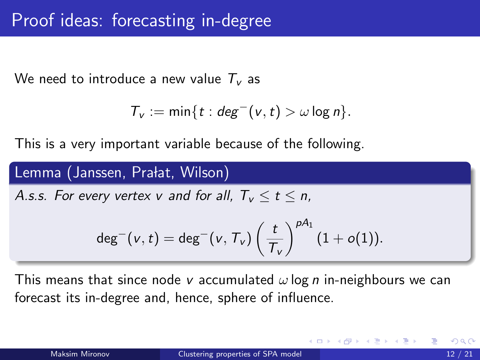We need to introduce a new value  $T_v$  as

$$
T_v := \min\{t : deg^-(v,t) > \omega \log n\}.
$$

This is a very important variable because of the following.

#### Lemma (Janssen, Prałat, Wilson)

A.s.s. For every vertex v and for all,  $T_v \le t \le n$ ,

$$
\mathsf{deg}^-(v,t) = \mathsf{deg}^-(v,\mathcal{T}_v)\left(\frac{t}{\mathcal{T}_v}\right)^{\rho A_1} (1+o(1)).
$$

This means that since node v accumulated  $\omega \log n$  in-neighbours we can forecast its in-degree and, hence, sphere of influence.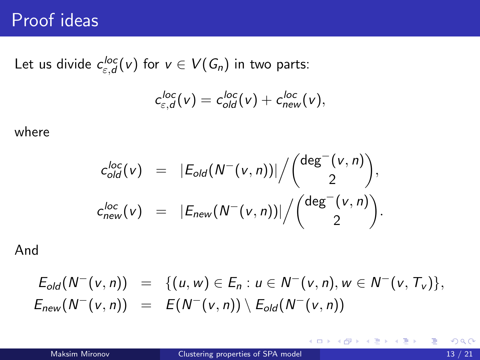## Proof ideas

Let us divide  $c_{\varepsilon,d}^{loc}(v)$  for  $v\in V(G_n)$  in two parts:

$$
c_{\varepsilon,d}^{loc}(v) = c_{old}^{loc}(v) + c_{new}^{loc}(v),
$$

where

$$
c_{old}^{loc}(v) = |E_{old}(N^-(v,n))| / \binom{\deg^-(v,n)}{2},
$$
  
\n
$$
c_{new}^{loc}(v) = |E_{new}(N^-(v,n))| / \binom{\deg^-(v,n)}{2}.
$$

And

$$
E_{old}(N^-(v, n)) = \{(u, w) \in E_n : u \in N^-(v, n), w \in N^-(v, T_v)\},
$$
  
\n
$$
E_{new}(N^-(v, n)) = E(N^-(v, n)) \setminus E_{old}(N^-(v, n))
$$

造

メロト メ都 トメ きょ メ きょう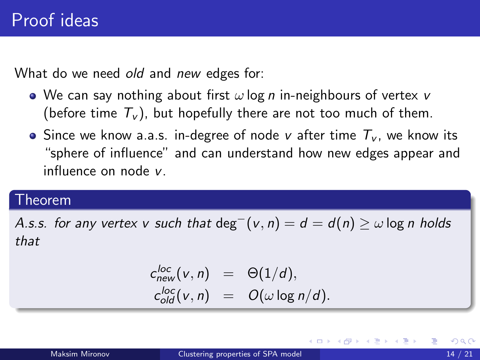What do we need old and new edges for:

- We can say nothing about first  $\omega$  log *n* in-neighbours of vertex v (before time  $T_v$ ), but hopefully there are not too much of them.
- Since we know a.a.s. in-degree of node v after time  $T_v$ , we know its "sphere of influence" and can understand how new edges appear and influence on node v.

#### Theorem

A.s.s. for any vertex v such that  $\deg^{-}(v, n) = d = d(n) \geq \omega \log n$  holds that

$$
c_{new}^{loc}(v, n) = \Theta(1/d),
$$
  
\n
$$
c_{old}^{loc}(v, n) = O(\omega \log n/d).
$$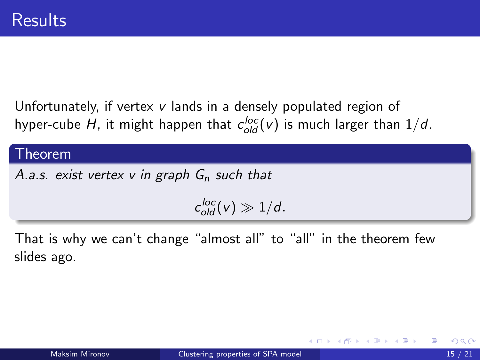Unfortunately, if vertex v lands in a densely populated region of hyper-cube  $H$ , it might happen that  $c_{old}^{loc}(v)$  is much larger than  $1/d$ .

#### Theorem

A.a.s. exist vertex v in graph  $G_n$  such that

 $c_{old}^{loc}(v) \gg 1/d$ .

That is why we can't change "almost all" to "all" in the theorem few slides ago.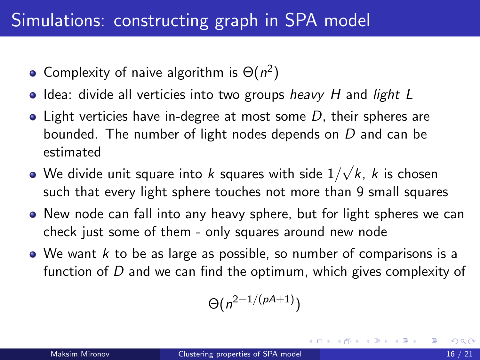# Simulations: constructing graph in SPA model

- Complexity of naive algorithm is  $\Theta(n^2)$
- $\bullet$  Idea: divide all verticies into two groups heavy H and light L
- $\bullet$  Light verticies have in-degree at most some D, their spheres are bounded. The number of light nodes depends on D and can be estimated √
- We divide unit square into  $k$  squares with side  $1/\sqrt{2}$ k, k is chosen such that every light sphere touches not more than 9 small squares
- New node can fall into any heavy sphere, but for light spheres we can check just some of them - only squares around new node
- $\bullet$  We want k to be as large as possible, so number of comparisons is a function of D and we can find the optimum, which gives complexity of

$$
\Theta(n^{2-1/(\rho A+1)})
$$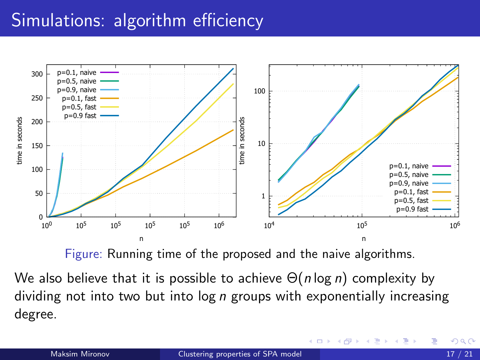# Simulations: algorithm efficiency



Figure: Running time of the proposed and the naive algorithms.

We also believe that it is possible to achieve  $\Theta(n \log n)$  complexity by dividing not into two but into  $log n$  groups with exponentially increasing degree.

4 D F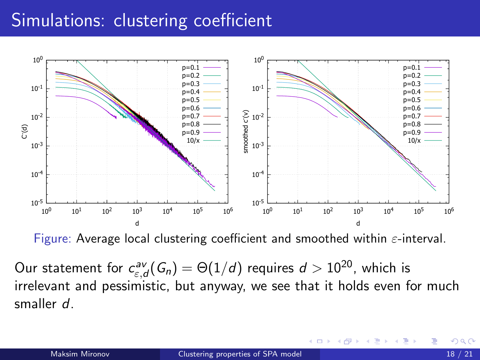# Simulations: clustering coefficient



Figure: Average local clustering coefficient and smoothed within  $\varepsilon$ -interval.

Our statement for  $c_{\varepsilon,d}^{\mathsf{av}}(\mathsf{G}_n)=\Theta(1/d)$  requires  $d>10^{20}$ , which is irrelevant and pessimistic, but anyway, we see that it holds even for much smaller d.

4 D F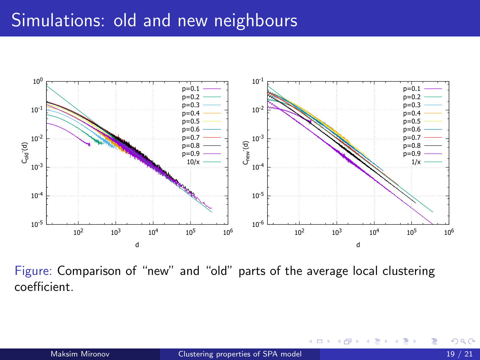## Simulations: old and new neighbours



Figure: Comparison of "new" and "old" parts of the average local clustering coefficient.

4 0 8

Þ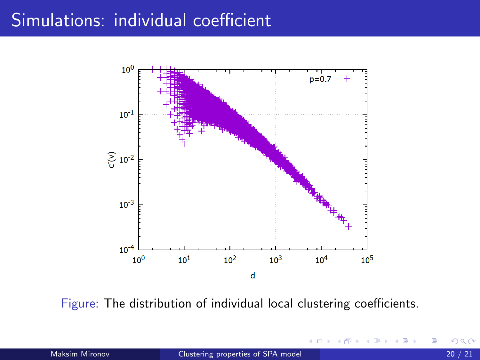## Simulations: individual coefficient



Figure: The distribution of individual local clustering coefficients.